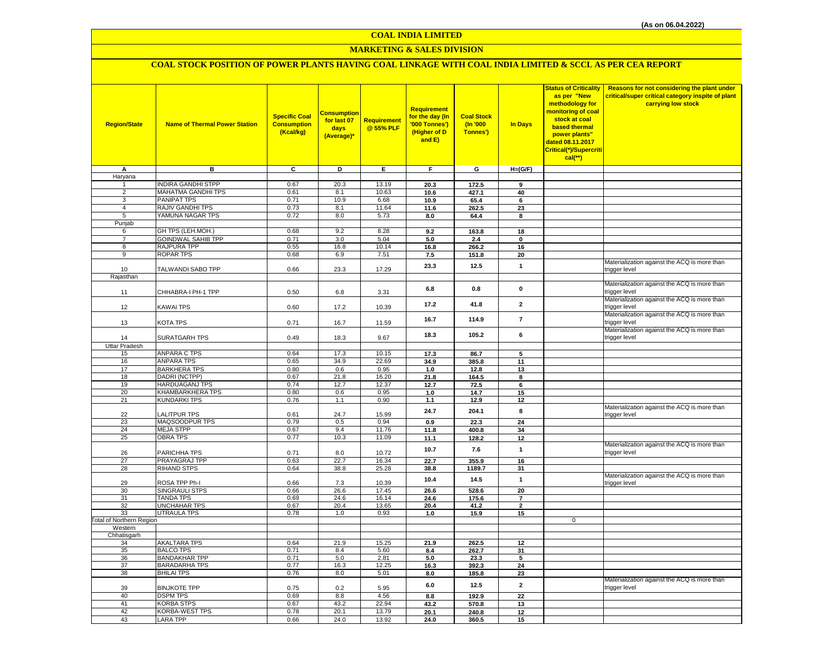## **MARKETING & SALES DIVISION**

## **COAL STOCK POSITION OF POWER PLANTS HAVING COAL LINKAGE WITH COAL INDIA LIMITED & SCCL AS PER CEA REPORT**

| <b>Region/State</b>                 | <b>Name of Thermal Power Station</b>            | <b>Specific Coal</b><br><b>Consumption</b><br>(Kcal/kg) | <b>Consumption</b><br>for last 07<br>days<br>(Average)* | <b>Requirement</b><br>@ 55% PLF | <b>Requirement</b><br>for the day (In<br>'000 Tonnes')<br>(Higher of D<br>and E) | <b>Coal Stock</b><br>(n'000)<br>Tonnes') | <b>In Days</b> | <b>Status of Criticality</b><br>as per "New<br>methodology for<br>monitoring of coal<br>stock at coal<br>based thermal<br>power plants"<br>dated 08.11.2017<br>Critical(*)/Supercriti<br>cal(**) | Reasons for not considering the plant under<br>critical/super critical category inspite of plant<br>carrying low stock |
|-------------------------------------|-------------------------------------------------|---------------------------------------------------------|---------------------------------------------------------|---------------------------------|----------------------------------------------------------------------------------|------------------------------------------|----------------|--------------------------------------------------------------------------------------------------------------------------------------------------------------------------------------------------|------------------------------------------------------------------------------------------------------------------------|
| А                                   | в                                               | C                                                       | D                                                       | Е.                              | F                                                                                | G                                        | $H=(G/F)$      |                                                                                                                                                                                                  |                                                                                                                        |
| Haryana                             |                                                 |                                                         |                                                         |                                 |                                                                                  |                                          |                |                                                                                                                                                                                                  |                                                                                                                        |
|                                     | <b>INDIRA GANDHI STPP</b><br>MAHATMA GANDHI TPS | 0.67<br>0.61                                            | 20.3                                                    | 13.19<br>10.63                  | 20.3                                                                             | 172.5                                    | 9              |                                                                                                                                                                                                  |                                                                                                                        |
| 2<br>3                              | PANIPAT TPS                                     | 0.71                                                    | 8.1<br>10.9                                             | 6.68                            | 10.6<br>10.9                                                                     | 427.1<br>65.4                            | 40<br>6        |                                                                                                                                                                                                  |                                                                                                                        |
| $\overline{4}$                      | RAJIV GANDHI TPS                                | 0.73                                                    | 8.1                                                     | 11.64                           | 11.6                                                                             | 262.5                                    | 23             |                                                                                                                                                                                                  |                                                                                                                        |
| $\overline{5}$                      | YAMUNA NAGAR TPS                                | 0.72                                                    | 8.0                                                     | 5.73                            | 8.0                                                                              | 64.4                                     | 8              |                                                                                                                                                                                                  |                                                                                                                        |
| Punjab                              |                                                 |                                                         |                                                         |                                 |                                                                                  |                                          |                |                                                                                                                                                                                                  |                                                                                                                        |
| 6                                   | GH TPS (LEH.MOH.)                               | 0.68                                                    | 9.2                                                     | 8.28                            | 9.2                                                                              | 163.8                                    | 18             |                                                                                                                                                                                                  |                                                                                                                        |
| $\overline{7}$                      | <b>GOINDWAL SAHIB TPP</b>                       | 0.71                                                    | 3.0                                                     | 5.04                            | 5.0                                                                              | 2.4                                      | $\mathbf 0$    |                                                                                                                                                                                                  |                                                                                                                        |
| 8                                   | RAJPURA TPP                                     | 0.55                                                    | 16.8                                                    | 10.14                           | 16.8                                                                             | 266.2                                    | 16             |                                                                                                                                                                                                  |                                                                                                                        |
| $\overline{9}$                      | ROPAR TPS                                       | 0.68                                                    | 6.9                                                     | 7.51                            | 7.5                                                                              | 151.8                                    | 20             |                                                                                                                                                                                                  |                                                                                                                        |
|                                     |                                                 |                                                         |                                                         |                                 | 23.3                                                                             | 12.5                                     | $\mathbf{1}$   |                                                                                                                                                                                                  | Materialization against the ACQ is more than                                                                           |
| 10                                  | TALWANDI SABO TPP                               | 0.66                                                    | 23.3                                                    | 17.29                           |                                                                                  |                                          |                |                                                                                                                                                                                                  | trigger level                                                                                                          |
| Rajasthan                           |                                                 |                                                         |                                                         |                                 |                                                                                  |                                          |                |                                                                                                                                                                                                  | Materialization against the ACQ is more than                                                                           |
| 11                                  | CHHABRA-I PH-1 TPP                              | 0.50                                                    | 6.8                                                     | 3.31                            | 6.8                                                                              | 0.8                                      | 0              |                                                                                                                                                                                                  | trigger level                                                                                                          |
|                                     |                                                 |                                                         |                                                         |                                 |                                                                                  |                                          |                |                                                                                                                                                                                                  | Materialization against the ACQ is more than                                                                           |
| 12                                  | KAWAI TPS                                       | 0.60                                                    | 17.2                                                    | 10.39                           | 17.2                                                                             | 41.8                                     | $\overline{2}$ |                                                                                                                                                                                                  | trigger level                                                                                                          |
|                                     |                                                 |                                                         |                                                         |                                 |                                                                                  |                                          |                |                                                                                                                                                                                                  | Materialization against the ACQ is more than                                                                           |
| 13                                  | KOTA TPS                                        | 0.71                                                    | 16.7                                                    | 11.59                           | 16.7                                                                             | 114.9                                    | $\overline{7}$ |                                                                                                                                                                                                  | trigger level                                                                                                          |
|                                     |                                                 |                                                         |                                                         |                                 |                                                                                  |                                          |                |                                                                                                                                                                                                  | Materialization against the ACQ is more than                                                                           |
| 14                                  | SURATGARH TPS                                   | 0.49                                                    | 18.3                                                    | 9.67                            | 18.3                                                                             | 105.2                                    | 6              |                                                                                                                                                                                                  | trigger level                                                                                                          |
| <b>Uttar Pradesh</b>                |                                                 |                                                         |                                                         |                                 |                                                                                  |                                          |                |                                                                                                                                                                                                  |                                                                                                                        |
| 15                                  | <b>ANPARA C TPS</b>                             | 0.64                                                    | 17.3                                                    | 10.15                           | 17.3                                                                             | 86.7                                     | 5              |                                                                                                                                                                                                  |                                                                                                                        |
| 16                                  | <b>ANPARA TPS</b>                               | 0.65                                                    | 34.9                                                    | 22.69                           | 34.9                                                                             | 385.8                                    | 11             |                                                                                                                                                                                                  |                                                                                                                        |
| 17<br>18                            | <b>BARKHERA TPS</b>                             | 0.80                                                    | 0.6                                                     | 0.95                            | 1.0                                                                              | 12.8                                     | 13             |                                                                                                                                                                                                  |                                                                                                                        |
| 19                                  | DADRI (NCTPP)<br><b>HARDUAGANJ TPS</b>          | 0.67<br>0.74                                            | 21.8<br>12.7                                            | 16.20<br>12.37                  | 21.8<br>12.7                                                                     | 164.5<br>72.5                            | 8<br>6         |                                                                                                                                                                                                  |                                                                                                                        |
| 20                                  | KHAMBARKHERA TPS                                | 0.80                                                    | 0.6                                                     | 0.95                            | 1.0                                                                              | 14.7                                     | 15             |                                                                                                                                                                                                  |                                                                                                                        |
| 21                                  | KUNDARKI TPS                                    | 0.76                                                    | 1.1                                                     | 0.90                            | 1.1                                                                              | 12.9                                     | 12             |                                                                                                                                                                                                  |                                                                                                                        |
|                                     |                                                 |                                                         |                                                         |                                 |                                                                                  |                                          |                |                                                                                                                                                                                                  | Materialization against the ACQ is more than                                                                           |
| 22                                  | ALITPUR TPS                                     | 0.61                                                    | 24.7                                                    | 15.99                           | 24.7                                                                             | 204.1                                    | 8              |                                                                                                                                                                                                  | trigger level                                                                                                          |
| 23                                  | MAQSOODPUR TPS                                  | 0.79                                                    | 0.5                                                     | 0.94                            | 0.9                                                                              | 22.3                                     | 24             |                                                                                                                                                                                                  |                                                                                                                        |
| 24                                  | <b>MEJA STPP</b>                                | 0.67                                                    | 9.4                                                     | 11.76                           | 11.8                                                                             | 400.8                                    | 34             |                                                                                                                                                                                                  |                                                                                                                        |
| 25                                  | OBRA TPS                                        | 0.77                                                    | 10.3                                                    | 11.09                           | 11.1                                                                             | 128.2                                    | 12             |                                                                                                                                                                                                  |                                                                                                                        |
| 26                                  | PARICHHA TPS                                    |                                                         | 8.0                                                     | 10.72                           | 10.7                                                                             | 7.6                                      | $\mathbf{1}$   |                                                                                                                                                                                                  | Materialization against the ACQ is more than<br>trigger level                                                          |
| 27                                  | PRAYAGRAJ TPP                                   | 0.71<br>0.63                                            | 22.7                                                    | 16.34                           | 22.7                                                                             | 355.9                                    | 16             |                                                                                                                                                                                                  |                                                                                                                        |
| 28                                  | <b>RIHAND STPS</b>                              | 0.64                                                    | 38.8                                                    | 25.28                           | 38.8                                                                             | 1189.7                                   | 31             |                                                                                                                                                                                                  |                                                                                                                        |
|                                     |                                                 |                                                         |                                                         |                                 |                                                                                  |                                          |                |                                                                                                                                                                                                  | Materialization against the ACQ is more than                                                                           |
| 29                                  | ROSA TPP Ph-I                                   | 0.66                                                    | 7.3                                                     | 10.39                           | 10.4                                                                             | 14.5                                     | $\mathbf{1}$   |                                                                                                                                                                                                  | trigger level                                                                                                          |
| 30                                  | SINGRAULI STPS                                  | 0.66                                                    | 26.6                                                    | 17.45                           | 26.6                                                                             | 528.6                                    | 20             |                                                                                                                                                                                                  |                                                                                                                        |
| 31                                  | <b>TANDA TPS</b>                                | 0.69                                                    | 24.6                                                    | 16.14                           | 24.6                                                                             | 175.6                                    | $\overline{7}$ |                                                                                                                                                                                                  |                                                                                                                        |
| 32                                  | <b>UNCHAHAR TPS</b>                             | 0.67                                                    | 20.4                                                    | 13.65                           | 20.4                                                                             | 41.2                                     | $\overline{2}$ |                                                                                                                                                                                                  |                                                                                                                        |
| 33                                  | <b>UTRAULA TPS</b>                              | 0.78                                                    | 1.0                                                     | 0.93                            | 1.0                                                                              | 15.9                                     | 15             |                                                                                                                                                                                                  |                                                                                                                        |
| Total of Northern Region<br>Western |                                                 |                                                         |                                                         |                                 |                                                                                  |                                          |                | $\mathbf 0$                                                                                                                                                                                      |                                                                                                                        |
| Chhatisgarh                         |                                                 |                                                         |                                                         |                                 |                                                                                  |                                          |                |                                                                                                                                                                                                  |                                                                                                                        |
| 34                                  | AKALTARA TPS                                    | 0.64                                                    | 21.9                                                    | 15.25                           | 21.9                                                                             | 262.5                                    | 12             |                                                                                                                                                                                                  |                                                                                                                        |
| 35                                  | <b>BALCO TPS</b>                                | 0.71                                                    | 8.4                                                     | 5.60                            | 8.4                                                                              | 262.7                                    | 31             |                                                                                                                                                                                                  |                                                                                                                        |
| 36                                  | <b>BANDAKHAR TPP</b>                            | 0.71                                                    | 5.0                                                     | 2.81                            | 5.0                                                                              | 23.3                                     | 5              |                                                                                                                                                                                                  |                                                                                                                        |
| 37                                  | <b>BARADARHA TPS</b>                            | 0.77                                                    | 16.3                                                    | 12.25                           | 16.3                                                                             | 392.3                                    | 24             |                                                                                                                                                                                                  |                                                                                                                        |
| 38                                  | <b>BHILAI TPS</b>                               | 0.76                                                    | 8.0                                                     | 5.01                            | 8.0                                                                              | 185.8                                    | 23             |                                                                                                                                                                                                  |                                                                                                                        |
|                                     |                                                 |                                                         |                                                         |                                 | 6.0                                                                              | 12.5                                     | $\overline{2}$ |                                                                                                                                                                                                  | Materialization against the ACQ is more than                                                                           |
| 39                                  | <b>BINJKOTE TPP</b>                             | 0.75                                                    | 0.2                                                     | 5.95                            |                                                                                  |                                          |                |                                                                                                                                                                                                  | trigger level                                                                                                          |
| 40<br>41                            | <b>DSPM TPS</b><br><b>KORBA STPS</b>            | 0.69<br>0.67                                            | 8.8<br>43.2                                             | 4.56<br>22.94                   | 8.8                                                                              | 192.9                                    | 22             |                                                                                                                                                                                                  |                                                                                                                        |
| 42                                  | <b>KORBA-WEST TPS</b>                           | 0.78                                                    | 20.1                                                    | 13.79                           | 43.2<br>20.1                                                                     | 570.8<br>240.8                           | 13<br>12       |                                                                                                                                                                                                  |                                                                                                                        |
| 43                                  | <b>LARA TPP</b>                                 | 0.66                                                    | 24.0                                                    | 13.92                           | 24.0                                                                             | 360.5                                    | 15             |                                                                                                                                                                                                  |                                                                                                                        |
|                                     |                                                 |                                                         |                                                         |                                 |                                                                                  |                                          |                |                                                                                                                                                                                                  |                                                                                                                        |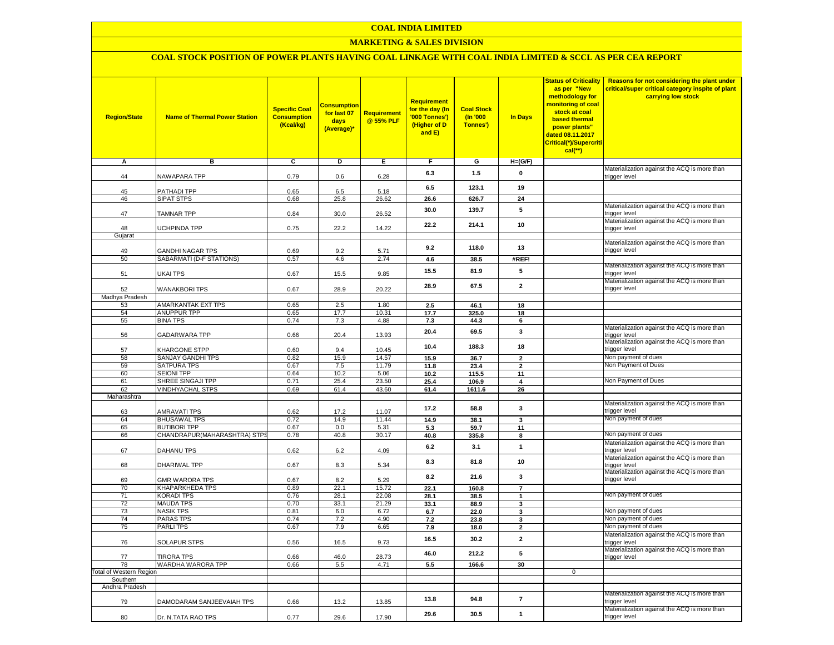## **MARKETING & SALES DIVISION**

# **COAL STOCK POSITION OF POWER PLANTS HAVING COAL LINKAGE WITH COAL INDIA LIMITED & SCCL AS PER CEA REPORT**

| <b>Region/State</b>     | <b>Name of Thermal Power Station</b>   | <b>Specific Coal</b><br><b>Consumption</b><br>(Kcal/kg) | <b>Consumption</b><br>for last 07<br>days<br>(Average)* | Requirement<br>@ 55% PLF | <b>Requirement</b><br>for the day (In<br>'000 Tonnes')<br>(Higher of D<br>and E) | <b>Coal Stock</b><br>(In '000<br>Tonnes') | <b>In Days</b>           | <b>Status of Criticality</b><br>as per "New<br>methodology for<br><mark>monitoring of coal</mark><br>stock at coal<br><b>based thermal</b><br>power plants"<br>dated 08.11.2017<br>Critical(*)/Supercriti<br>cal(**) | Reasons for not considering the plant under<br>critical/super critical category inspite of plant<br>carrying low stock |
|-------------------------|----------------------------------------|---------------------------------------------------------|---------------------------------------------------------|--------------------------|----------------------------------------------------------------------------------|-------------------------------------------|--------------------------|----------------------------------------------------------------------------------------------------------------------------------------------------------------------------------------------------------------------|------------------------------------------------------------------------------------------------------------------------|
| А                       | в                                      | C                                                       | D                                                       | Е.                       | F                                                                                | G                                         | $H=(G/F)$                |                                                                                                                                                                                                                      |                                                                                                                        |
| 44                      | NAWAPARA TPP                           | 0.79                                                    | 0.6                                                     | 6.28                     | 6.3                                                                              | 1.5                                       | $\mathbf 0$              |                                                                                                                                                                                                                      | Materialization against the ACQ is more than<br>trigger level                                                          |
| 45                      | PATHADI TPP                            | 0.65                                                    | 6.5                                                     | 5.18                     | 6.5                                                                              | 123.1                                     | 19                       |                                                                                                                                                                                                                      |                                                                                                                        |
| 46                      | <b>SIPAT STPS</b>                      | 0.68                                                    | 25.8                                                    | 26.62                    | 26.6                                                                             | 626.7                                     | 24                       |                                                                                                                                                                                                                      |                                                                                                                        |
| 47                      | <b>TAMNAR TPP</b>                      | 0.84                                                    | 30.0                                                    | 26.52                    | 30.0                                                                             | 139.7                                     | 5                        |                                                                                                                                                                                                                      | Materialization against the ACQ is more than<br>trigger level                                                          |
| 48                      | UCHPINDA TPP                           | 0.75                                                    | 22.2                                                    | 14.22                    | 22.2                                                                             | 214.1                                     | 10                       |                                                                                                                                                                                                                      | Materialization against the ACQ is more than<br>trigger level                                                          |
| Gujarat                 |                                        |                                                         |                                                         |                          |                                                                                  |                                           |                          |                                                                                                                                                                                                                      | Materialization against the ACQ is more than                                                                           |
| 49                      | GANDHI NAGAR TPS                       | 0.69                                                    | 9.2                                                     | 5.71                     | 9.2                                                                              | 118.0                                     | 13                       |                                                                                                                                                                                                                      | trigger level                                                                                                          |
| 50                      | SABARMATI (D-F STATIONS)               | 0.57                                                    | 4.6                                                     | 2.74                     | 4.6                                                                              | 38.5                                      | #REF!                    |                                                                                                                                                                                                                      |                                                                                                                        |
| 51                      | <b>UKAI TPS</b>                        | 0.67                                                    | 15.5                                                    | 9.85                     | 15.5                                                                             | 81.9                                      | 5                        |                                                                                                                                                                                                                      | Materialization against the ACQ is more than<br>trigger level                                                          |
| 52                      | <b>WANAKBORI TPS</b>                   | 0.67                                                    | 28.9                                                    | 20.22                    | 28.9                                                                             | 67.5                                      | $\overline{2}$           |                                                                                                                                                                                                                      | Materialization against the ACQ is more than<br>trigger level                                                          |
| Madhya Pradesh<br>53    | <b>AMARKANTAK EXT TPS</b>              | 0.65                                                    | 2.5                                                     | 1.80                     | 2.5                                                                              | 46.1                                      | 18                       |                                                                                                                                                                                                                      |                                                                                                                        |
| 54                      | <b>ANUPPUR TPP</b>                     | 0.65                                                    | 17.7                                                    | 10.31                    | 17.7                                                                             | 325.0                                     | 18                       |                                                                                                                                                                                                                      |                                                                                                                        |
| 55                      | <b>BINA TPS</b>                        | 0.74                                                    | 7.3                                                     | 4.88                     | 7.3                                                                              | 44.3                                      | 6                        |                                                                                                                                                                                                                      |                                                                                                                        |
| 56                      | <b>GADARWARA TPP</b>                   | 0.66                                                    | 20.4                                                    | 13.93                    | 20.4                                                                             | 69.5                                      | 3                        |                                                                                                                                                                                                                      | Materialization against the ACQ is more than<br>trigger level                                                          |
| 57                      | KHARGONE STPP                          | 0.60                                                    | 9.4                                                     | 10.45                    | 10.4                                                                             | 188.3                                     | 18                       |                                                                                                                                                                                                                      | Materialization against the ACQ is more than<br>trigger level                                                          |
| 58                      | SANJAY GANDHI TPS                      | 0.82                                                    | 15.9                                                    | 14.57                    | 15.9                                                                             | 36.7                                      | $\overline{2}$           |                                                                                                                                                                                                                      | Non payment of dues                                                                                                    |
| 59                      | SATPURA TPS                            | 0.67                                                    | 7.5                                                     | 11.79                    | 11.8                                                                             | 23.4                                      | $\overline{2}$           |                                                                                                                                                                                                                      | Non Payment of Dues                                                                                                    |
| 60<br>61                | <b>SEIONI TPP</b><br>SHREE SINGAJI TPP | 0.64<br>0.71                                            | 10.2<br>25.4                                            | 5.06<br>23.50            | 10.2                                                                             | 115.5                                     | 11<br>4                  |                                                                                                                                                                                                                      | Non Payment of Dues                                                                                                    |
| 62                      | <b>VINDHYACHAL STPS</b>                | 0.69                                                    | 61.4                                                    | 43.60                    | 25.4<br>61.4                                                                     | 106.9<br>1611.6                           | 26                       |                                                                                                                                                                                                                      |                                                                                                                        |
| Maharashtra             |                                        |                                                         |                                                         |                          |                                                                                  |                                           |                          |                                                                                                                                                                                                                      |                                                                                                                        |
| 63                      | AMRAVATI TPS                           | 0.62                                                    | 17.2                                                    | 11.07                    | 17.2                                                                             | 58.8                                      | 3                        |                                                                                                                                                                                                                      | Materialization against the ACQ is more than<br>trigger level                                                          |
| 64                      | <b>BHUSAWAL TPS</b>                    | 0.72                                                    | 14.9                                                    | 11.44                    | 14.9                                                                             | 38.1                                      | 3                        |                                                                                                                                                                                                                      | Non payment of dues                                                                                                    |
| 65                      | <b>BUTIBORI TPP</b>                    | 0.67                                                    | 0.0                                                     | 5.31                     | 5.3                                                                              | 59.7                                      | 11                       |                                                                                                                                                                                                                      |                                                                                                                        |
| 66                      | CHANDRAPUR (MAHARASHTRA) STPS          | 0.78                                                    | 40.8                                                    | 30.17                    | 40.8                                                                             | 335.8                                     | 8                        |                                                                                                                                                                                                                      | Non payment of dues                                                                                                    |
| 67                      | <b>DAHANU TPS</b>                      | 0.62                                                    | 6.2                                                     | 4.09                     | 6.2                                                                              | 3.1                                       | $\mathbf{1}$             |                                                                                                                                                                                                                      | Materialization against the ACQ is more than<br>trigger level                                                          |
| 68                      | <b>DHARIWAL TPP</b>                    | 0.67                                                    | 8.3                                                     | 5.34                     | 8.3                                                                              | 81.8                                      | 10                       |                                                                                                                                                                                                                      | Materialization against the ACQ is more than<br>trigger level<br>Materialization against the ACQ is more than          |
| 69                      | <b>GMR WARORA TPS</b>                  | 0.67                                                    | 8.2                                                     | 5.29                     | 8.2                                                                              | 21.6                                      | 3                        |                                                                                                                                                                                                                      | trigger level                                                                                                          |
| 70                      | KHAPARKHEDA TPS                        | 0.89                                                    | 22.1                                                    | 15.72                    | 22.1                                                                             | 160.8                                     | $\overline{\mathbf{r}}$  |                                                                                                                                                                                                                      |                                                                                                                        |
| 71                      | <b>KORADI TPS</b>                      | 0.76                                                    | 28.1                                                    | 22.08                    | 28.1                                                                             | 38.5                                      | $\mathbf{1}$             |                                                                                                                                                                                                                      | Non payment of dues                                                                                                    |
| 72                      | <b>MAUDA TPS</b>                       | 0.70                                                    | 33.1                                                    | 21.29                    | 33.1                                                                             | 88.9                                      | 3                        |                                                                                                                                                                                                                      |                                                                                                                        |
| 73<br>74                | <b>NASIK TPS</b>                       | 0.81                                                    | 6.0<br>7.2                                              | 6.72                     | 6.7                                                                              | 22.0                                      | 3                        |                                                                                                                                                                                                                      | Non payment of dues<br>Non payment of dues                                                                             |
| 75                      | <b>PARAS TPS</b><br><b>PARLITPS</b>    | 0.74<br>0.67                                            | 7.9                                                     | 4.90<br>6.65             | 7.2<br>7.9                                                                       | 23.8<br>18.0                              | 3<br>$\overline{2}$      |                                                                                                                                                                                                                      | Non payment of dues                                                                                                    |
| 76                      | SOLAPUR STPS                           | 0.56                                                    | 16.5                                                    | 9.73                     | 16.5                                                                             | 30.2                                      | $\mathbf{2}$             |                                                                                                                                                                                                                      | Materialization against the ACQ is more than<br>trigger level                                                          |
| 77                      | <b>TIRORA TPS</b>                      | 0.66                                                    | 46.0                                                    | 28.73                    | 46.0                                                                             | 212.2                                     | 5                        |                                                                                                                                                                                                                      | Materialization against the ACQ is more than<br>trigger level                                                          |
| 78                      | WARDHA WARORA TPP                      | 0.66                                                    | 5.5                                                     | 4.71                     | 5.5                                                                              | 166.6                                     | 30                       |                                                                                                                                                                                                                      |                                                                                                                        |
| Total of Western Region |                                        |                                                         |                                                         |                          |                                                                                  |                                           |                          | $\mathbf 0$                                                                                                                                                                                                          |                                                                                                                        |
| Southern                |                                        |                                                         |                                                         |                          |                                                                                  |                                           |                          |                                                                                                                                                                                                                      |                                                                                                                        |
| Andhra Pradesh          |                                        |                                                         |                                                         |                          |                                                                                  |                                           |                          |                                                                                                                                                                                                                      | Materialization against the ACQ is more than                                                                           |
| 79                      | DAMODARAM SANJEEVAIAH TPS              | 0.66                                                    | 13.2                                                    | 13.85                    | 13.8                                                                             | 94.8                                      | $\overline{\phantom{a}}$ |                                                                                                                                                                                                                      | trigger level<br>Materialization against the ACQ is more than                                                          |
| 80                      | Dr. N.TATA RAO TPS                     | 0.77                                                    | 29.6                                                    | 17.90                    | 29.6                                                                             | 30.5                                      | $\mathbf{1}$             |                                                                                                                                                                                                                      | trigger level                                                                                                          |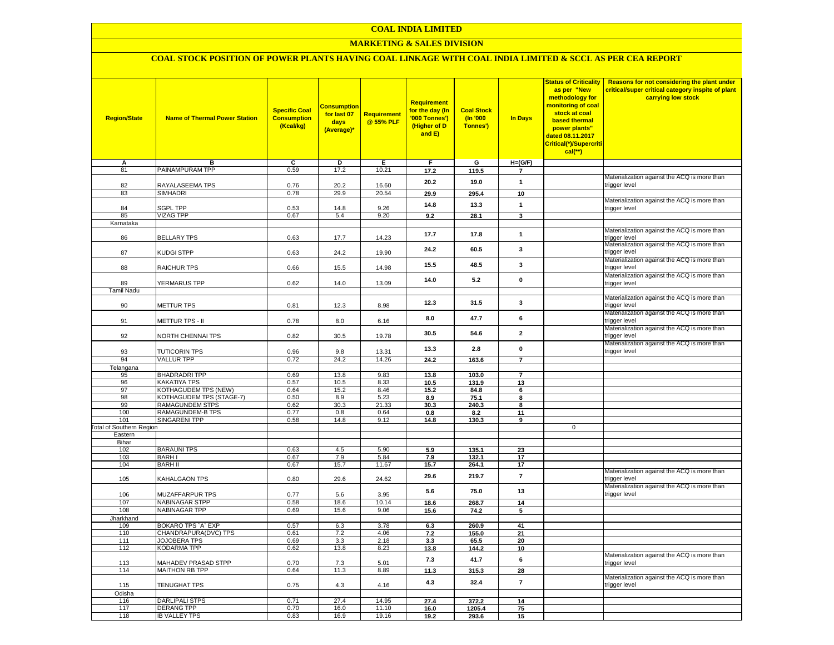## **MARKETING & SALES DIVISION**

# **COAL STOCK POSITION OF POWER PLANTS HAVING COAL LINKAGE WITH COAL INDIA LIMITED & SCCL AS PER CEA REPORT**

| <b>Region/State</b>     | <b>Name of Thermal Power Station</b>       | <b>Specific Coal</b><br><b>Consumption</b><br>(Kcal/kg) | <b>Consumption</b><br>for last 07<br>days<br>(Average)* | <b>Requirement</b><br>@ 55% PLF | Requirement<br>for the day (In<br>'000 Tonnes')<br>(Higher of D<br>and E) | <b>Coal Stock</b><br>(In '000<br>Tonnes') | In Days                     | as per "New<br>methodology for<br>monitoring of coal<br>stock at coal<br>based thermal<br>power plants"<br>dated 08.11.2017<br><mark>Critical(*)/Supercriti</mark><br>cal(**) | <mark>Status of Criticality   Reasons for not considering the plant under</mark><br>critical/super critical category inspite of plant<br>carrying low stock |
|-------------------------|--------------------------------------------|---------------------------------------------------------|---------------------------------------------------------|---------------------------------|---------------------------------------------------------------------------|-------------------------------------------|-----------------------------|-------------------------------------------------------------------------------------------------------------------------------------------------------------------------------|-------------------------------------------------------------------------------------------------------------------------------------------------------------|
| А<br>81                 | в<br>PAINAMPURAM TPP                       | c<br>0.59                                               | D<br>17.2                                               | Е<br>10.21                      | F                                                                         | G                                         | $H=(G/F)$<br>$\overline{7}$ |                                                                                                                                                                               |                                                                                                                                                             |
|                         |                                            |                                                         |                                                         |                                 | 17.2                                                                      | 119.5                                     |                             |                                                                                                                                                                               | Materialization against the ACQ is more than                                                                                                                |
| 82                      | RAYALASEEMA TPS                            | 0.76                                                    | 20.2                                                    | 16.60                           | 20.2                                                                      | 19.0                                      | $\mathbf{1}$                |                                                                                                                                                                               | trigger level                                                                                                                                               |
| 83                      | <b>SIMHADRI</b>                            | 0.78                                                    | 29.9                                                    | 20.54                           | 29.9                                                                      | 295.4                                     | 10                          |                                                                                                                                                                               | Materialization against the ACQ is more than                                                                                                                |
| 84                      | <b>SGPL TPP</b>                            | 0.53                                                    | 14.8                                                    | 9.26                            | 14.8                                                                      | 13.3                                      | $\mathbf{1}$                |                                                                                                                                                                               | trigger level                                                                                                                                               |
| 85<br>Karnataka         | <b>VIZAG TPP</b>                           | 0.67                                                    | 5.4                                                     | 9.20                            | 9.2                                                                       | 28.1                                      | 3                           |                                                                                                                                                                               |                                                                                                                                                             |
| 86                      | <b>BELLARY TPS</b>                         | 0.63                                                    | 17.7                                                    | 14.23                           | 17.7                                                                      | 17.8                                      | $\mathbf{1}$                |                                                                                                                                                                               | Materialization against the ACQ is more than<br>trigger level                                                                                               |
| 87                      | KUDGI STPP                                 | 0.63                                                    | 24.2                                                    | 19.90                           | 24.2                                                                      | 60.5                                      | 3                           |                                                                                                                                                                               | Materialization against the ACQ is more than<br>trigger level                                                                                               |
| 88                      | RAICHUR TPS                                | 0.66                                                    | 15.5                                                    | 14.98                           | 15.5                                                                      | 48.5                                      | 3                           |                                                                                                                                                                               | Materialization against the ACQ is more than<br>trigger level                                                                                               |
| 89                      | YERMARUS TPP                               | 0.62                                                    | 14.0                                                    | 13.09                           | 14.0                                                                      | 5.2                                       | 0                           |                                                                                                                                                                               | Materialization against the ACQ is more than<br>trigger level                                                                                               |
| <b>Tamil Nadu</b>       |                                            |                                                         |                                                         |                                 |                                                                           |                                           |                             |                                                                                                                                                                               |                                                                                                                                                             |
| 90                      | <b>METTUR TPS</b>                          | 0.81                                                    | 12.3                                                    | 8.98                            | 12.3                                                                      | 31.5                                      | 3                           |                                                                                                                                                                               | Materialization against the ACQ is more than<br>trigger level<br>Materialization against the ACQ is more than                                               |
| 91                      | Mettur TPS - II                            | 0.78                                                    | 8.0                                                     | 6.16                            | 8.0                                                                       | 47.7                                      | 6                           |                                                                                                                                                                               | trigger level                                                                                                                                               |
| 92                      | NORTH CHENNAI TPS                          | 0.82                                                    | 30.5                                                    | 19.78                           | 30.5                                                                      | 54.6                                      | $\mathbf{2}$                |                                                                                                                                                                               | Materialization against the ACQ is more than<br>trigger level                                                                                               |
| 93                      | <b>TUTICORIN TPS</b>                       | 0.96                                                    | 9.8                                                     | 13.31                           | 13.3                                                                      | 2.8                                       | $\mathbf 0$                 |                                                                                                                                                                               | Materialization against the ACQ is more than<br>trigger level                                                                                               |
| 94                      | <b>VALLUR TPP</b>                          | 0.72                                                    | 24.2                                                    | 14.26                           | 24.2                                                                      | 163.6                                     | $\overline{7}$              |                                                                                                                                                                               |                                                                                                                                                             |
| Telangana               | <b>BHADRADRITPP</b>                        | 0.69                                                    |                                                         | 9.83                            |                                                                           |                                           |                             |                                                                                                                                                                               |                                                                                                                                                             |
| 95<br>96                | <b>KAKATIYA TPS</b>                        | 0.57                                                    | 13.8<br>10.5                                            | 8.33                            | 13.8<br>10.5                                                              | 103.0<br>131.9                            | $\overline{7}$<br>13        |                                                                                                                                                                               |                                                                                                                                                             |
| 97                      | <b>KOTHAGUDEM TPS (NEW)</b>                | 0.64                                                    | 15.2                                                    | 8.46                            | 15.2                                                                      | 84.8                                      | 6                           |                                                                                                                                                                               |                                                                                                                                                             |
| 98                      | KOTHAGUDEM TPS (STAGE-7)                   | 0.50                                                    | 8.9                                                     | 5.23                            | 8.9                                                                       | 75.1                                      | 8                           |                                                                                                                                                                               |                                                                                                                                                             |
| 99                      | RAMAGUNDEM STPS                            | 0.62                                                    | 30.3                                                    | 21.33                           | 30.3                                                                      | 240.3                                     | 8                           |                                                                                                                                                                               |                                                                                                                                                             |
| 100<br>101              | RAMAGUNDEM-B TPS<br><b>SINGARENI TPP</b>   | 0.77<br>0.58                                            | 0.8<br>14.8                                             | 0.64<br>9.12                    | 0.8<br>14.8                                                               | 8.2<br>130.3                              | 11<br>9                     |                                                                                                                                                                               |                                                                                                                                                             |
| otal of Southern Region |                                            |                                                         |                                                         |                                 |                                                                           |                                           |                             | $\Omega$                                                                                                                                                                      |                                                                                                                                                             |
| Eastern                 |                                            |                                                         |                                                         |                                 |                                                                           |                                           |                             |                                                                                                                                                                               |                                                                                                                                                             |
| Bihar                   |                                            |                                                         |                                                         |                                 |                                                                           |                                           |                             |                                                                                                                                                                               |                                                                                                                                                             |
| 102<br>103              | <b>BARAUNITPS</b><br><b>BARHI</b>          | 0.63<br>0.67                                            | 4.5<br>7.9                                              | 5.90<br>5.84                    | 5.9<br>7.9                                                                | 135.1<br>132.1                            | 23<br>17                    |                                                                                                                                                                               |                                                                                                                                                             |
| 104                     | <b>BARH II</b>                             | 0.67                                                    | 15.7                                                    | 11.67                           | 15.7                                                                      | 264.1                                     | 17                          |                                                                                                                                                                               |                                                                                                                                                             |
| 105                     | KAHALGAON TPS                              | 0.80                                                    | 29.6                                                    | 24.62                           | 29.6                                                                      | 219.7                                     | $\overline{7}$              |                                                                                                                                                                               | Materialization against the ACQ is more than<br>trigger level                                                                                               |
| 106                     | MUZAFFARPUR TPS                            | 0.77                                                    | 5.6                                                     | 3.95                            | 5.6                                                                       | 75.0                                      | 13                          |                                                                                                                                                                               | Materialization against the ACQ is more than<br>trigger level                                                                                               |
| 107                     | <b>NABINAGAR STPP</b>                      | 0.58                                                    | 18.6                                                    | 10.14                           | 18.6                                                                      | 268.7                                     | 14                          |                                                                                                                                                                               |                                                                                                                                                             |
| 108                     | NABINAGAR TPP                              | 0.69                                                    | 15.6                                                    | 9.06                            | 15.6                                                                      | 74.2                                      | 5                           |                                                                                                                                                                               |                                                                                                                                                             |
| Jharkhand               |                                            |                                                         |                                                         |                                 |                                                                           |                                           |                             |                                                                                                                                                                               |                                                                                                                                                             |
| 109<br>110              | BOKARO TPS 'A' EXP<br>CHANDRAPURA(DVC) TPS | 0.57<br>0.61                                            | 6.3<br>7.2                                              | 3.78<br>4.06                    | 6.3<br>7.2                                                                | 260.9<br>155.0                            | 41<br>21                    |                                                                                                                                                                               |                                                                                                                                                             |
| 111                     | <b>JOJOBERA TPS</b>                        | 0.69                                                    | 3.3                                                     | 2.18                            | 3.3                                                                       | 65.5                                      | 20                          |                                                                                                                                                                               |                                                                                                                                                             |
| 112                     | <b>KODARMA TPP</b>                         | 0.62                                                    | 13.8                                                    | 8.23                            | 13.8                                                                      | 144.2                                     | 10                          |                                                                                                                                                                               |                                                                                                                                                             |
| 113                     | <b>MAHADEV PRASAD STPP</b>                 | 0.70                                                    | 7.3                                                     | 5.01                            | 7.3                                                                       | 41.7                                      | 6                           |                                                                                                                                                                               | Materialization against the ACQ is more than<br>trigger level                                                                                               |
| 114                     | MAITHON RB TPP                             | 0.64                                                    | 11.3                                                    | 8.89                            | 11.3                                                                      | 315.3                                     | 28                          |                                                                                                                                                                               | Materialization against the ACQ is more than                                                                                                                |
| 115<br>Odisha           | TENUGHAT TPS                               | 0.75                                                    | 4.3                                                     | 4.16                            | 4.3                                                                       | 32.4                                      | $\bf 7$                     |                                                                                                                                                                               | trigger level                                                                                                                                               |
| 116                     | DARLIPALI STPS                             | 0.71                                                    | 27.4                                                    | 14.95                           | 27.4                                                                      | 372.2                                     | 14                          |                                                                                                                                                                               |                                                                                                                                                             |
| 117                     | <b>DERANG TPP</b>                          | 0.70                                                    | 16.0                                                    | 11.10                           | 16.0                                                                      | 1205.4                                    | 75                          |                                                                                                                                                                               |                                                                                                                                                             |
| 118                     | <b>IB VALLEY TPS</b>                       | 0.83                                                    | 16.9                                                    | 19.16                           | 19.2                                                                      | 293.6                                     | 15                          |                                                                                                                                                                               |                                                                                                                                                             |